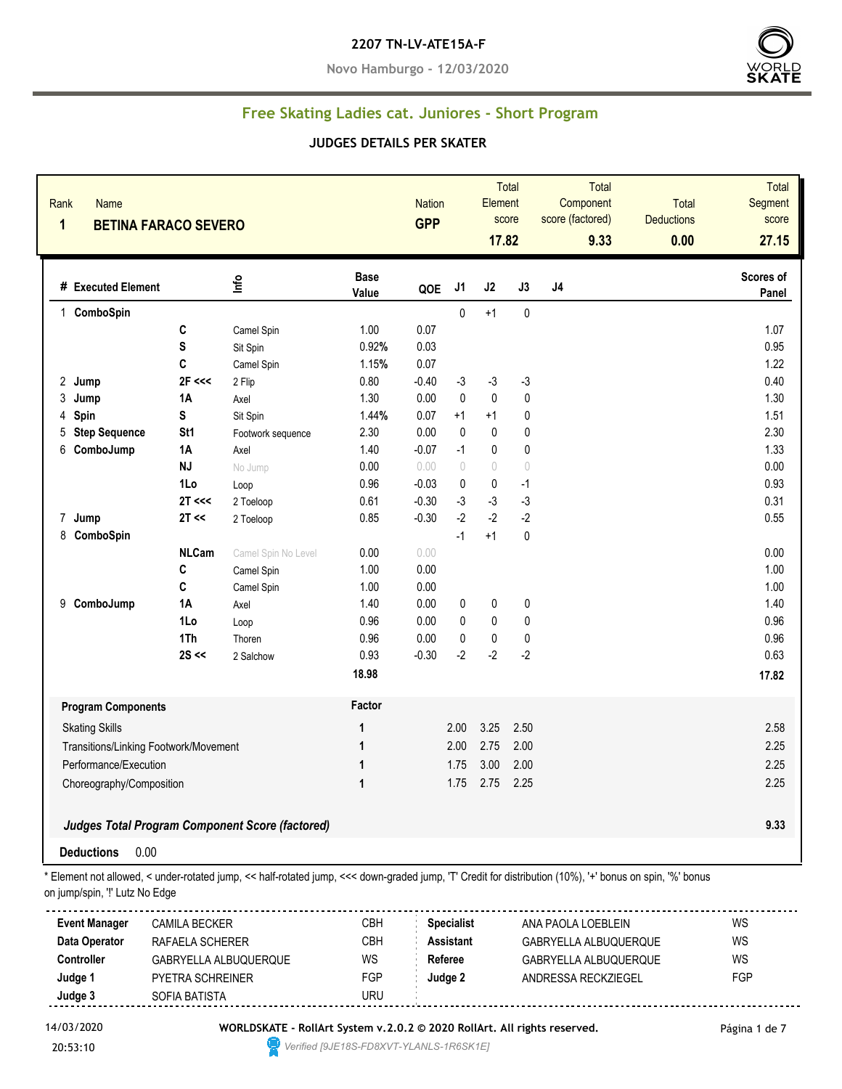#### **2207 TN-LV-ATE15A-F**

**Novo Hamburgo - 12/03/2020**



# **Free Skating Ladies cat. Juniores - Short Program**

#### **JUDGES DETAILS PER SKATER**

| Rank<br><b>Name</b><br>1<br><b>BETINA FARACO SEVERO</b> |                 |                                                        |                      | <b>Nation</b><br><b>GPP</b> |                                  | Element<br>17.82                 | Total<br>score | Total<br>Component<br>score (factored)<br>9.33 | <b>Total</b><br><b>Deductions</b><br>0.00 | Total<br>Segment<br>score<br>27.15 |
|---------------------------------------------------------|-----------------|--------------------------------------------------------|----------------------|-----------------------------|----------------------------------|----------------------------------|----------------|------------------------------------------------|-------------------------------------------|------------------------------------|
| # Executed Element                                      |                 | Info                                                   | <b>Base</b><br>Value | QOE                         | J <sub>1</sub>                   | J2                               | J3             | J <sub>4</sub>                                 |                                           | Scores of<br>Panel                 |
| 1 ComboSpin                                             |                 |                                                        |                      |                             | 0                                | $+1$                             | $\pmb{0}$      |                                                |                                           |                                    |
|                                                         | C               | Camel Spin                                             | 1.00                 | 0.07                        |                                  |                                  |                |                                                |                                           | 1.07                               |
|                                                         | S               | Sit Spin                                               | 0.92%                | 0.03                        |                                  |                                  |                |                                                |                                           | 0.95                               |
|                                                         | C               | Camel Spin                                             | 1.15%                | 0.07                        |                                  |                                  |                |                                                |                                           | 1.22                               |
| 2 Jump                                                  | 2F <<           | 2 Flip                                                 | 0.80                 | $-0.40$                     | -3                               | $-3$                             | $-3$           |                                                |                                           | 0.40                               |
| 3<br>Jump                                               | 1A              | Axel                                                   | 1.30                 | 0.00                        | $\pmb{0}$                        | $\pmb{0}$                        | $\pmb{0}$      |                                                |                                           | 1.30                               |
| 4<br>Spin                                               | S               | Sit Spin                                               | 1.44%                | 0.07                        | $+1$                             | $+1$                             | $\pmb{0}$      |                                                |                                           | 1.51                               |
| <b>Step Sequence</b><br>5                               | St <sub>1</sub> | Footwork sequence                                      | 2.30                 | 0.00                        | $\mathbf{0}$                     | $\mathbf{0}$                     | $\pmb{0}$      |                                                |                                           | 2.30                               |
| ComboJump<br>6                                          | <b>1A</b>       | Axel                                                   | 1.40                 | $-0.07$                     | $-1$                             | $\mathbf 0$                      | $\pmb{0}$      |                                                |                                           | 1.33                               |
|                                                         | <b>NJ</b>       | No Jump                                                | 0.00                 | 0.00                        | $\begin{array}{c} \n\end{array}$ | $\begin{array}{c} \n\end{array}$ | $\bigcirc$     |                                                |                                           | 0.00                               |
|                                                         | 1Lo             | Loop                                                   | 0.96                 | $-0.03$                     | 0                                | $\mathbf 0$                      | $-1$           |                                                |                                           | 0.93                               |
|                                                         | 2T <<           | 2 Toeloop                                              | 0.61                 | $-0.30$                     | $-3$                             | $-3$                             | $-3$           |                                                |                                           | 0.31                               |
| $\overline{7}$<br>Jump                                  | 2T <            | 2 Toeloop                                              | 0.85                 | $-0.30$                     | $-2$                             | $-2$                             | $-2$           |                                                |                                           | 0.55                               |
| ComboSpin<br>8                                          |                 |                                                        |                      |                             | $-1$                             | $+1$                             | $\pmb{0}$      |                                                |                                           |                                    |
|                                                         | <b>NLCam</b>    | Camel Spin No Level                                    | 0.00                 | 0.00                        |                                  |                                  |                |                                                |                                           | 0.00                               |
|                                                         | C               | Camel Spin                                             | 1.00                 | 0.00                        |                                  |                                  |                |                                                |                                           | 1.00                               |
|                                                         | C               | Camel Spin                                             | 1.00                 | 0.00                        |                                  |                                  |                |                                                |                                           | 1.00                               |
| ComboJump<br>9                                          | 1A              | Axel                                                   | 1.40                 | 0.00                        | 0                                | $\mathbf 0$                      | 0              |                                                |                                           | 1.40                               |
|                                                         | 1Lo             | Loop                                                   | 0.96                 | 0.00                        | $\pmb{0}$                        | $\pmb{0}$                        | $\pmb{0}$      |                                                |                                           | 0.96                               |
|                                                         | 1Th             | Thoren                                                 | 0.96                 | 0.00                        | 0                                | $\pmb{0}$                        | $\pmb{0}$      |                                                |                                           | 0.96                               |
|                                                         | 2S <            | 2 Salchow                                              | 0.93                 | $-0.30$                     | $-2$                             | $-2$                             | $-2$           |                                                |                                           | 0.63                               |
|                                                         |                 |                                                        | 18.98                |                             |                                  |                                  |                |                                                |                                           | 17.82                              |
| <b>Program Components</b>                               |                 |                                                        | Factor               |                             |                                  |                                  |                |                                                |                                           |                                    |
| <b>Skating Skills</b>                                   |                 |                                                        | $\mathbf{1}$         |                             | 2.00                             | 3.25                             | 2.50           |                                                |                                           | 2.58                               |
| Transitions/Linking Footwork/Movement                   |                 |                                                        | $\overline{1}$       |                             | 2.00                             | 2.75                             | 2.00           |                                                |                                           | 2.25                               |
| Performance/Execution                                   |                 |                                                        | 1                    |                             | 1.75                             | 3.00                             | 2.00           |                                                |                                           | 2.25                               |
| Choreography/Composition                                |                 |                                                        | $\overline{1}$       |                             | 1.75                             | 2.75                             | 2.25           |                                                |                                           | 2.25                               |
|                                                         |                 |                                                        |                      |                             |                                  |                                  |                |                                                |                                           |                                    |
|                                                         |                 | <b>Judges Total Program Component Score (factored)</b> |                      |                             |                                  |                                  |                |                                                |                                           | 9.33                               |
| 0.00<br><b>Deductions</b>                               |                 |                                                        |                      |                             |                                  |                                  |                |                                                |                                           |                                    |

\* Element not allowed, < under-rotated jump, << half-rotated jump, <<< down-graded jump, 'T' Credit for distribution (10%), '+' bonus on spin, '%' bonus on jump/spin, '!' Lutz No Edge

| <b>Event Manager</b> | CAMILA BECKER         | <b>CBH</b> | <b>Specialist</b> | ANA PAOLA LOEBLEIN    | WS  |
|----------------------|-----------------------|------------|-------------------|-----------------------|-----|
| Data Operator        | RAFAELA SCHERER       | CBH        | <b>Assistant</b>  | GABRYELLA ALBUQUERQUE | WS  |
| <b>Controller</b>    | GABRYELLA ALBUQUERQUE | WS         | Referee           | GABRYELLA ALBUQUERQUE | WS  |
| Judge 1              | PYETRA SCHREINER      | FGP        | Judae 2           | ANDRESSA RECKZIEGEL   | FGP |
| Judge 3              | SOFIA BATISTA         | URU        |                   |                       |     |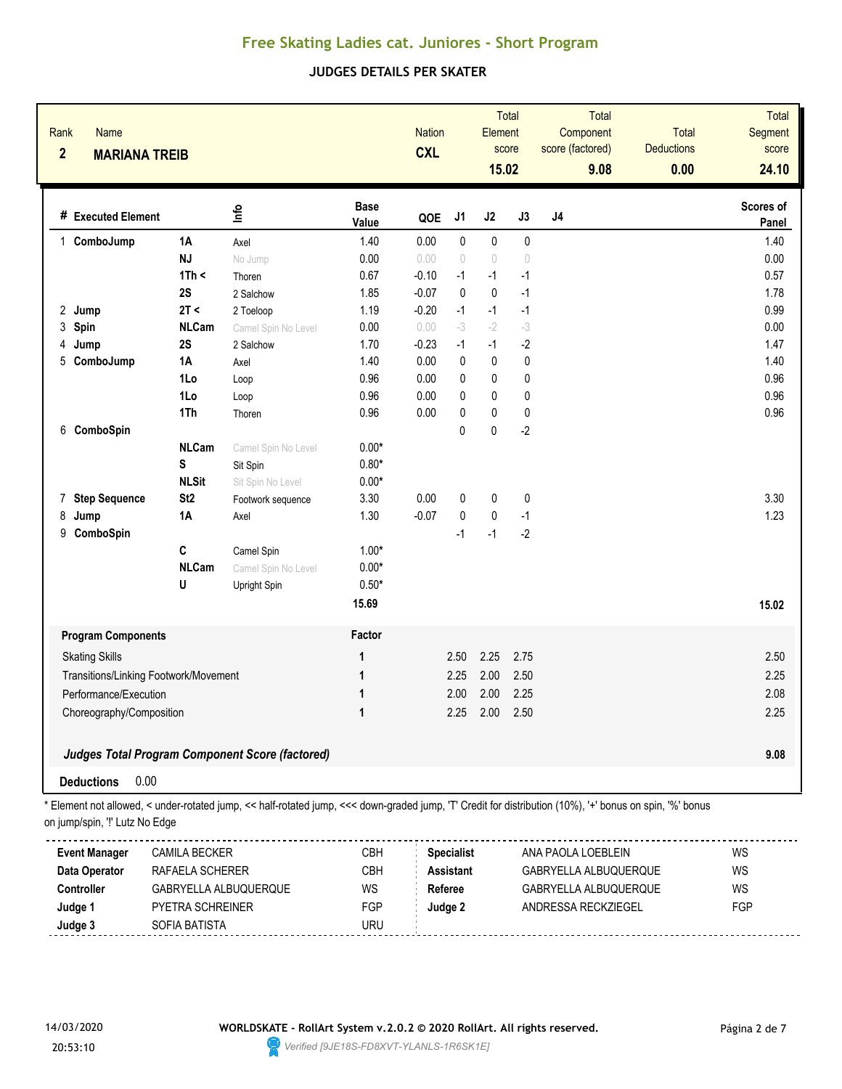#### **JUDGES DETAILS PER SKATER**

| Rank<br>$\overline{2}$ | <b>Name</b><br><b>MARIANA TREIB</b>                    |                 |                     | <b>Nation</b><br><b>CXL</b> |         | Element<br>15.02 | Total<br>score | <b>Total</b><br>Component<br>score (factored)<br>9.08 | <b>Total</b><br><b>Deductions</b><br>0.00 | Total<br>Segment<br>score<br>24.10 |                    |
|------------------------|--------------------------------------------------------|-----------------|---------------------|-----------------------------|---------|------------------|----------------|-------------------------------------------------------|-------------------------------------------|------------------------------------|--------------------|
|                        | # Executed Element                                     |                 | ۴ů                  | <b>Base</b><br>Value        | QOE     | J1               | J2             | J3                                                    | J <sub>4</sub>                            |                                    | Scores of<br>Panel |
|                        | 1 ComboJump                                            | 1A              | Axel                | 1.40                        | 0.00    | $\pmb{0}$        | $\pmb{0}$      | $\pmb{0}$                                             |                                           |                                    | 1.40               |
|                        |                                                        | <b>NJ</b>       | No Jump             | 0.00                        | 0.00    | $\bigcirc$       | $\bigcirc$     | $\bigcirc$                                            |                                           |                                    | 0.00               |
|                        |                                                        | 1Th <           | Thoren              | 0.67                        | $-0.10$ | $-1$             | $-1$           | $-1$                                                  |                                           |                                    | 0.57               |
|                        |                                                        | 2S              | 2 Salchow           | 1.85                        | $-0.07$ | 0                | 0              | $-1$                                                  |                                           |                                    | 1.78               |
|                        | 2 Jump                                                 | 2T <            | 2 Toeloop           | 1.19                        | $-0.20$ | $-1$             | $-1$           | $-1$                                                  |                                           |                                    | 0.99               |
| 3                      | Spin                                                   | <b>NLCam</b>    | Camel Spin No Level | 0.00                        | 0.00    | $-3$             | $-2$           | $-3$                                                  |                                           |                                    | 0.00               |
| 4                      | Jump                                                   | 2S              | 2 Salchow           | 1.70                        | $-0.23$ | $-1$             | $-1$           | $-2$                                                  |                                           |                                    | 1.47               |
| 5                      | ComboJump                                              | <b>1A</b>       | Axel                | 1.40                        | 0.00    | 0                | 0              | $\pmb{0}$                                             |                                           |                                    | 1.40               |
|                        |                                                        | 1Lo             | Loop                | 0.96                        | 0.00    | 0                | 0              | 0                                                     |                                           |                                    | 0.96               |
|                        |                                                        | 1Lo             | Loop                | 0.96                        | 0.00    | $\mathbf 0$      | $\mathbf{0}$   | 0                                                     |                                           |                                    | 0.96               |
|                        |                                                        | 1Th             | Thoren              | 0.96                        | 0.00    | 0                | $\mathbf{0}$   | $\pmb{0}$                                             |                                           |                                    | 0.96               |
|                        | 6 ComboSpin                                            |                 |                     |                             |         | $\Omega$         | $\mathbf{0}$   | $-2$                                                  |                                           |                                    |                    |
|                        |                                                        | <b>NLCam</b>    | Camel Spin No Level | $0.00*$                     |         |                  |                |                                                       |                                           |                                    |                    |
|                        |                                                        | S               | Sit Spin            | $0.80*$                     |         |                  |                |                                                       |                                           |                                    |                    |
|                        |                                                        | <b>NLSit</b>    | Sit Spin No Level   | $0.00*$                     |         |                  |                |                                                       |                                           |                                    |                    |
| 7                      | <b>Step Sequence</b>                                   | St <sub>2</sub> | Footwork sequence   | 3.30                        | 0.00    | 0                | 0              | 0                                                     |                                           |                                    | 3.30               |
| 8                      | Jump                                                   | 1A              | Axel                | 1.30                        | $-0.07$ | $\pmb{0}$        | 0              | $-1$                                                  |                                           |                                    | 1.23               |
| 9                      | ComboSpin                                              |                 |                     |                             |         | $-1$             | $-1$           | $-2$                                                  |                                           |                                    |                    |
|                        |                                                        | C               | Camel Spin          | $1.00*$                     |         |                  |                |                                                       |                                           |                                    |                    |
|                        |                                                        | <b>NLCam</b>    | Camel Spin No Level | $0.00*$                     |         |                  |                |                                                       |                                           |                                    |                    |
|                        |                                                        | U               | Upright Spin        | $0.50*$                     |         |                  |                |                                                       |                                           |                                    |                    |
|                        |                                                        |                 |                     | 15.69                       |         |                  |                |                                                       |                                           |                                    | 15.02              |
|                        | <b>Program Components</b>                              |                 |                     | Factor                      |         |                  |                |                                                       |                                           |                                    |                    |
|                        | <b>Skating Skills</b>                                  |                 |                     | 1                           |         | 2.50             | 2.25           | 2.75                                                  |                                           |                                    | 2.50               |
|                        | Transitions/Linking Footwork/Movement                  |                 |                     | 1                           |         | 2.25             | 2.00           | 2.50                                                  |                                           |                                    | 2.25               |
|                        | Performance/Execution                                  |                 |                     | $\mathbf{1}$                |         | 2.00             | 2.00           | 2.25                                                  |                                           |                                    | 2.08               |
|                        | Choreography/Composition                               |                 |                     | $\mathbf{1}$                |         | 2.25             | 2.00           | 2.50                                                  |                                           |                                    | 2.25               |
|                        |                                                        |                 |                     |                             |         |                  |                |                                                       |                                           |                                    |                    |
|                        | <b>Judges Total Program Component Score (factored)</b> |                 |                     |                             |         |                  |                |                                                       | 9.08                                      |                                    |                    |
|                        | 0.00<br><b>Deductions</b>                              |                 |                     |                             |         |                  |                |                                                       |                                           |                                    |                    |

\* Element not allowed, < under-rotated jump, << half-rotated jump, <<< down-graded jump, 'T' Credit for distribution (10%), '+' bonus on spin, '%' bonus on jump/spin, '!' Lutz No Edge

| <b>Event Manager</b> | CAMILA BECKER           | CBH | <b>Specialist</b> | ANA PAOLA LOEBLEIN    | WS  |
|----------------------|-------------------------|-----|-------------------|-----------------------|-----|
| Data Operator        | RAFAELA SCHERER         | СВН | <b>Assistant</b>  | GABRYELLA ALBUQUERQUE | WS  |
| <b>Controller</b>    | GABRYELLA ALBUQUERQUE   | WS  | Referee           | GABRYELLA ALBUQUERQUE | WS  |
| Judge 1              | <b>PYETRA SCHREINER</b> | FGP | Judae 2           | ANDRESSA RECKZIEGEL   | FGP |
| Judge 3              | SOFIA BATISTA           | URU |                   |                       |     |

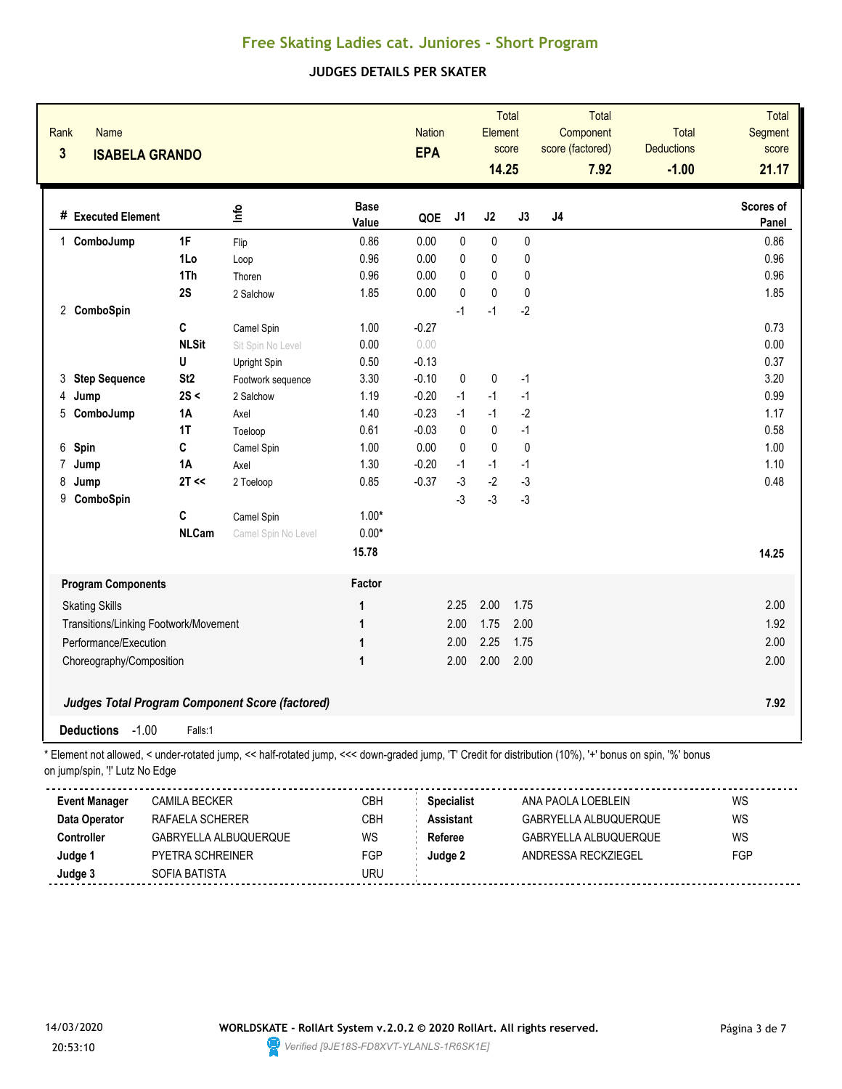### **JUDGES DETAILS PER SKATER**

| <b>Name</b><br>Rank<br>3<br><b>ISABELA GRANDO</b> |                      |                                                                                                                                                          |                      | <b>Nation</b><br><b>EPA</b> |                   | Element<br>14.25 | Total<br>score | Total<br>Component<br>score (factored)<br>7.92 | <b>Total</b><br><b>Deductions</b><br>$-1.00$ | <b>Total</b><br>Segment<br>score<br>21.17 |
|---------------------------------------------------|----------------------|----------------------------------------------------------------------------------------------------------------------------------------------------------|----------------------|-----------------------------|-------------------|------------------|----------------|------------------------------------------------|----------------------------------------------|-------------------------------------------|
| # Executed Element                                |                      | <u>lnfo</u>                                                                                                                                              | <b>Base</b><br>Value | QOE                         | J1                | J2               | J3             | J <sub>4</sub>                                 |                                              | Scores of<br>Panel                        |
| ComboJump<br>1                                    | 1F                   | Flip                                                                                                                                                     | 0.86                 | 0.00                        | 0                 | 0                | 0              |                                                |                                              | 0.86                                      |
|                                                   | 1Lo                  | Loop                                                                                                                                                     | 0.96                 | 0.00                        | 0                 | $\mathbf 0$      | 0              |                                                |                                              | 0.96                                      |
|                                                   | 1Th                  | Thoren                                                                                                                                                   | 0.96                 | 0.00                        | 0                 | $\mathbf{0}$     | 0              |                                                |                                              | 0.96                                      |
|                                                   | 2S                   | 2 Salchow                                                                                                                                                | 1.85                 | 0.00                        | 0                 | $\pmb{0}$        | 0              |                                                |                                              | 1.85                                      |
| 2 ComboSpin                                       |                      |                                                                                                                                                          |                      |                             | $-1$              | $-1$             | $-2$           |                                                |                                              |                                           |
|                                                   | C                    | Camel Spin                                                                                                                                               | 1.00                 | $-0.27$                     |                   |                  |                |                                                |                                              | 0.73                                      |
|                                                   | <b>NLSit</b>         | Sit Spin No Level                                                                                                                                        | 0.00                 | 0.00                        |                   |                  |                |                                                |                                              | 0.00                                      |
|                                                   | U                    | Upright Spin                                                                                                                                             | 0.50                 | $-0.13$                     |                   |                  |                |                                                |                                              | 0.37                                      |
| <b>Step Sequence</b><br>3                         | St <sub>2</sub>      | Footwork sequence                                                                                                                                        | 3.30                 | $-0.10$                     | 0                 | 0                | $-1$           |                                                |                                              | 3.20                                      |
| 4<br>Jump                                         | 2S <                 | 2 Salchow                                                                                                                                                | 1.19                 | $-0.20$                     | $-1$              | $-1$             | $-1$           |                                                |                                              | 0.99                                      |
| ComboJump<br>5                                    | 1A                   | Axel                                                                                                                                                     | 1.40                 | $-0.23$                     | $-1$              | $-1$             | $-2$           |                                                |                                              | 1.17                                      |
|                                                   | 1T                   | Toeloop                                                                                                                                                  | 0.61                 | $-0.03$                     | 0                 | 0                | $-1$           |                                                |                                              | 0.58                                      |
| Spin<br>6                                         | C                    | Camel Spin                                                                                                                                               | 1.00                 | 0.00                        | 0                 | 0                | $\pmb{0}$      |                                                |                                              | 1.00                                      |
| 7<br>Jump                                         | 1A                   | Axel                                                                                                                                                     | 1.30                 | $-0.20$                     | $-1$              | $-1$             | $-1$           |                                                |                                              | 1.10                                      |
| 8<br>Jump                                         | 2T <                 | 2 Toeloop                                                                                                                                                | 0.85                 | $-0.37$                     | $-3$              | $-2$             | $-3$           |                                                |                                              | 0.48                                      |
| 9<br>ComboSpin                                    |                      |                                                                                                                                                          |                      |                             | -3                | $-3$             | $-3$           |                                                |                                              |                                           |
|                                                   | C                    | Camel Spin                                                                                                                                               | $1.00*$              |                             |                   |                  |                |                                                |                                              |                                           |
|                                                   | <b>NLCam</b>         | Camel Spin No Level                                                                                                                                      | $0.00*$              |                             |                   |                  |                |                                                |                                              |                                           |
|                                                   |                      |                                                                                                                                                          | 15.78                |                             |                   |                  |                |                                                |                                              | 14.25                                     |
| <b>Program Components</b>                         |                      |                                                                                                                                                          | Factor               |                             |                   |                  |                |                                                |                                              |                                           |
| <b>Skating Skills</b>                             |                      |                                                                                                                                                          | $\mathbf 1$          |                             | 2.25              | 2.00             | 1.75           |                                                |                                              | 2.00                                      |
| Transitions/Linking Footwork/Movement             |                      |                                                                                                                                                          | 1                    |                             | 2.00              | 1.75             | 2.00           |                                                |                                              | 1.92                                      |
| Performance/Execution                             |                      |                                                                                                                                                          | 1                    |                             | 2.00              | 2.25             | 1.75           |                                                |                                              | 2.00                                      |
| Choreography/Composition                          |                      |                                                                                                                                                          | 1                    |                             | 2.00              | 2.00             | 2.00           |                                                |                                              | 2.00                                      |
|                                                   |                      | <b>Judges Total Program Component Score (factored)</b>                                                                                                   |                      |                             |                   |                  |                |                                                |                                              | 7.92                                      |
| $-1.00$<br><b>Deductions</b>                      | Falls:1              |                                                                                                                                                          |                      |                             |                   |                  |                |                                                |                                              |                                           |
| on jump/spin, "!' Lutz No Edge                    |                      | * Element not allowed, < under-rotated jump, << half-rotated jump, <<< down-graded jump, 'T' Credit for distribution (10%), '+' bonus on spin, '%' bonus |                      |                             |                   |                  |                |                                                |                                              |                                           |
| <b>Event Manager</b>                              | <b>CAMILA BECKER</b> |                                                                                                                                                          | CBH                  |                             | <b>Specialist</b> |                  |                | ANA PAOLA LOEBLEIN                             |                                              | WS                                        |
| Data Operator                                     | RAFAELA SCHERER      |                                                                                                                                                          | CBH                  |                             | <b>Assistant</b>  |                  |                | GABRYELLA ALBUQUERQUE                          |                                              | WS                                        |

| <b>Event Manager</b> | <b>CAMILA BECKER</b>    | CBH        | <b>Specialist</b> | ANA PAOLA LOEBLEIN    | WS  |
|----------------------|-------------------------|------------|-------------------|-----------------------|-----|
| Data Operator        | RAFAELA SCHERER         | CBH        | Assistant         | GABRYELLA ALBUQUERQUE | WS  |
| Controller           | GABRYELLA ALBUQUERQUE   | WS         | Referee           | GABRYELLA ALBUQUERQUE | WS  |
| Judge 1              | <b>PYETRA SCHREINER</b> | <b>FGP</b> | Judae 2           | ANDRESSA RECKZIEGEL   | FGP |
| Judge 3              | SOFIA BATISTA           | URU        |                   |                       |     |

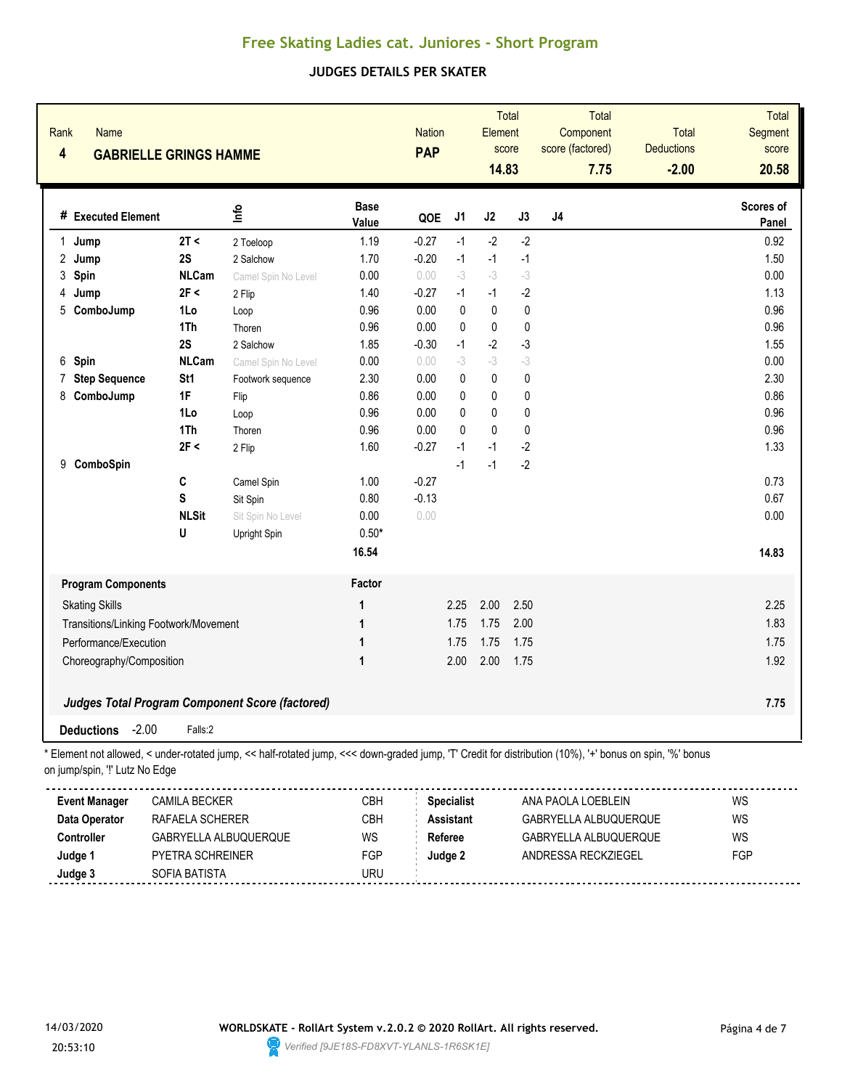### **JUDGES DETAILS PER SKATER**

| Rank<br><b>Name</b><br>4              | <b>GABRIELLE GRINGS HAMME</b> |                                                                                                                                                          |                      | <b>Nation</b><br><b>PAP</b> |                   | Element<br>14.83 | <b>Total</b><br>score | Total<br>Component<br>score (factored)<br>7.75 | Total<br><b>Deductions</b><br>$-2.00$ | Total<br>Segment<br>score<br>20.58 |
|---------------------------------------|-------------------------------|----------------------------------------------------------------------------------------------------------------------------------------------------------|----------------------|-----------------------------|-------------------|------------------|-----------------------|------------------------------------------------|---------------------------------------|------------------------------------|
| # Executed Element                    |                               | ۴ů                                                                                                                                                       | <b>Base</b><br>Value | QOE                         | J1                | J2               | J3                    | J4                                             |                                       | Scores of<br>Panel                 |
| Jump<br>1                             | 2T <                          | 2 Toeloop                                                                                                                                                | 1.19                 | $-0.27$                     | $-1$              | $-2$             | $-2$                  |                                                |                                       | 0.92                               |
| 2<br>Jump                             | 2S                            | 2 Salchow                                                                                                                                                | 1.70                 | $-0.20$                     | $-1$              | $-1$             | $-1$                  |                                                |                                       | 1.50                               |
| 3<br>Spin                             | <b>NLCam</b>                  | Camel Spin No Level                                                                                                                                      | 0.00                 | 0.00                        | $-3$              | $-3$             | $-3$                  |                                                |                                       | 0.00                               |
| Jump<br>4                             | 2F <                          | 2 Flip                                                                                                                                                   | 1.40                 | $-0.27$                     | $-1$              | $-1$             | $-2$                  |                                                |                                       | 1.13                               |
| 5<br>ComboJump                        | 1Lo                           | Loop                                                                                                                                                     | 0.96                 | 0.00                        | 0                 | $\pmb{0}$        | 0                     |                                                |                                       | 0.96                               |
|                                       | 1Th                           | Thoren                                                                                                                                                   | 0.96                 | 0.00                        | $\Omega$          | $\pmb{0}$        | $\mathbf 0$           |                                                |                                       | 0.96                               |
|                                       | 2S                            | 2 Salchow                                                                                                                                                | 1.85                 | $-0.30$                     | $-1$              | $-2$             | -3                    |                                                |                                       | 1.55                               |
| 6<br>Spin                             | <b>NLCam</b>                  | Camel Spin No Level                                                                                                                                      | 0.00                 | 0.00                        | $-3$              | $-3$             | -3                    |                                                |                                       | 0.00                               |
| 7<br><b>Step Sequence</b>             | St <sub>1</sub>               | Footwork sequence                                                                                                                                        | 2.30                 | 0.00                        | $\mathbf{0}$      | 0                | 0                     |                                                |                                       | 2.30                               |
| ComboJump<br>8                        | 1F                            | Flip                                                                                                                                                     | 0.86                 | 0.00                        | 0                 | 0                | 0                     |                                                |                                       | 0.86                               |
|                                       | 1Lo                           | Loop                                                                                                                                                     | 0.96                 | 0.00                        | 0                 | 0                | 0                     |                                                |                                       | 0.96                               |
|                                       | 1Th                           | Thoren                                                                                                                                                   | 0.96                 | 0.00                        | $\mathbf{0}$      | $\mathbf{0}$     | 0                     |                                                |                                       | 0.96                               |
|                                       | 2F <                          | 2 Flip                                                                                                                                                   | 1.60                 | $-0.27$                     | $-1$              | $-1$             | $-2$                  |                                                |                                       | 1.33                               |
| 9 ComboSpin                           |                               |                                                                                                                                                          |                      |                             | $-1$              | $-1$             | $-2$                  |                                                |                                       |                                    |
|                                       | $\mathbf{C}$                  | Camel Spin                                                                                                                                               | 1.00                 | $-0.27$                     |                   |                  |                       |                                                |                                       | 0.73                               |
|                                       | S                             | Sit Spin                                                                                                                                                 | 0.80                 | $-0.13$                     |                   |                  |                       |                                                |                                       | 0.67                               |
|                                       | <b>NLSit</b>                  | Sit Spin No Level                                                                                                                                        | 0.00                 | 0.00                        |                   |                  |                       |                                                |                                       | 0.00                               |
|                                       | U                             | Upright Spin                                                                                                                                             | $0.50*$              |                             |                   |                  |                       |                                                |                                       |                                    |
|                                       |                               |                                                                                                                                                          | 16.54                |                             |                   |                  |                       |                                                |                                       | 14.83                              |
| <b>Program Components</b>             |                               |                                                                                                                                                          | Factor               |                             |                   |                  |                       |                                                |                                       |                                    |
| <b>Skating Skills</b>                 |                               |                                                                                                                                                          | 1                    |                             | 2.25              | 2.00             | 2.50                  |                                                |                                       | 2.25                               |
| Transitions/Linking Footwork/Movement |                               |                                                                                                                                                          | 1                    |                             | 1.75              | 1.75             | 2.00                  |                                                |                                       | 1.83                               |
| Performance/Execution                 |                               |                                                                                                                                                          | 1                    |                             | 1.75              | 1.75             | 1.75                  |                                                |                                       | 1.75                               |
| Choreography/Composition              |                               |                                                                                                                                                          | $\mathbf{1}$         |                             | 2.00              | 2.00             | 1.75                  |                                                |                                       | 1.92                               |
|                                       |                               | <b>Judges Total Program Component Score (factored)</b>                                                                                                   |                      |                             |                   |                  |                       |                                                |                                       | 7.75                               |
| <b>Deductions</b>                     | $-2.00$<br>Falls:2            |                                                                                                                                                          |                      |                             |                   |                  |                       |                                                |                                       |                                    |
| on jump/spin, "!' Lutz No Edge        |                               | * Element not allowed, < under-rotated jump, << half-rotated jump, <<< down-graded jump, 'T' Credit for distribution (10%), '+' bonus on spin, '%' bonus |                      |                             |                   |                  |                       |                                                |                                       |                                    |
| <b>Event Manager</b>                  | <b>CAMILA BECKER</b>          |                                                                                                                                                          | CBH                  |                             | <b>Specialist</b> |                  |                       | ANA PAOLA LOEBLEIN                             |                                       | WS                                 |
| Data Operator                         | RAFAELA SCHERER               |                                                                                                                                                          | CBH                  |                             | <b>Assistant</b>  |                  |                       | GABRYELLA ALBUQUERQUE                          |                                       | WS                                 |
| Controller                            | GABRYELLA ALBUQUERQUE         |                                                                                                                                                          | WS                   |                             | Referee           |                  |                       | GABRYELLA ALBUQUERQUE                          |                                       | WS                                 |

**Judge 3** SOFIA BATISTA SOFIA BATISTA



**Judge 1** PYETRA SCHREINER FGP **Judge 2** ANDRESSA RECKZIEGEL FGP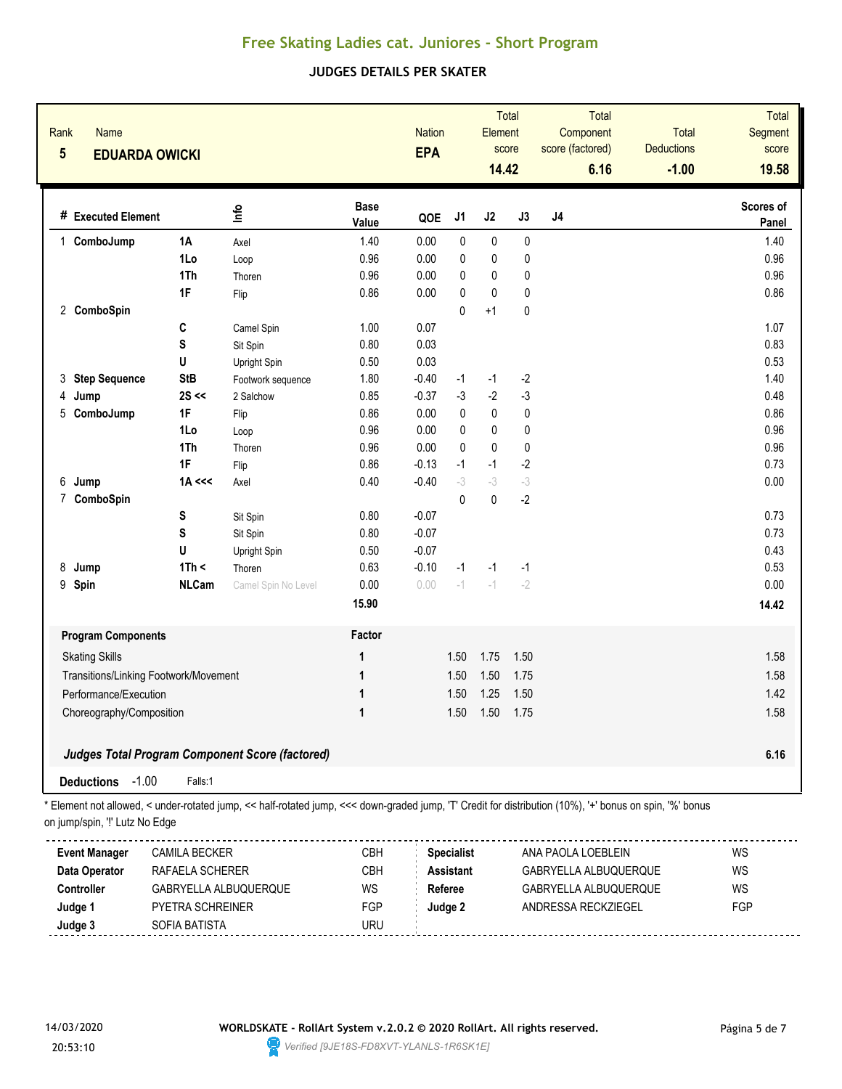### **JUDGES DETAILS PER SKATER**

| Rank<br><b>Name</b><br>$5\phantom{.0}$ | <b>EDUARDA OWICKI</b> |                                                        |                      | <b>Nation</b><br><b>EPA</b> |              | Element<br>14.42 | <b>Total</b><br>score | <b>Total</b><br>Component<br>score (factored)<br>6.16 | <b>Total</b><br><b>Deductions</b><br>$-1.00$ | Total<br>Segment<br>score<br>19.58 |
|----------------------------------------|-----------------------|--------------------------------------------------------|----------------------|-----------------------------|--------------|------------------|-----------------------|-------------------------------------------------------|----------------------------------------------|------------------------------------|
| # Executed Element                     |                       | lnfo                                                   | <b>Base</b><br>Value | QOE                         | J1           | J2               | J3                    | J <sub>4</sub>                                        |                                              | Scores of<br>Panel                 |
| ComboJump<br>$\mathbf 1$               | 1A                    | Axel                                                   | 1.40                 | 0.00                        | 0            | $\pmb{0}$        | 0                     |                                                       |                                              | 1.40                               |
|                                        | 1Lo                   | Loop                                                   | 0.96                 | 0.00                        | 0            | 0                | 0                     |                                                       |                                              | 0.96                               |
|                                        | 1Th                   | Thoren                                                 | 0.96                 | 0.00                        | 0            | $\mathbf{0}$     | 0                     |                                                       |                                              | 0.96                               |
|                                        | 1F                    | Flip                                                   | 0.86                 | 0.00                        | 0            | $\mathbf 0$      | 0                     |                                                       |                                              | 0.86                               |
| 2 ComboSpin                            |                       |                                                        |                      |                             | 0            | $+1$             | $\pmb{0}$             |                                                       |                                              |                                    |
|                                        | C                     | Camel Spin                                             | 1.00                 | 0.07                        |              |                  |                       |                                                       |                                              | 1.07                               |
|                                        | ${\bf S}$             | Sit Spin                                               | 0.80                 | 0.03                        |              |                  |                       |                                                       |                                              | 0.83                               |
|                                        | U                     | Upright Spin                                           | 0.50                 | 0.03                        |              |                  |                       |                                                       |                                              | 0.53                               |
| 3 Step Sequence                        | <b>StB</b>            | Footwork sequence                                      | 1.80                 | $-0.40$                     | $-1$         | $-1$             | $-2$                  |                                                       |                                              | 1.40                               |
| Jump<br>4                              | $2S \ll$              | 2 Salchow                                              | 0.85                 | $-0.37$                     | $-3$         | $-2$             | $-3$                  |                                                       |                                              | 0.48                               |
| ComboJump<br>5                         | 1F                    | Flip                                                   | 0.86                 | 0.00                        | 0            | 0                | $\pmb{0}$             |                                                       |                                              | 0.86                               |
|                                        | 1Lo                   | Loop                                                   | 0.96                 | 0.00                        | 0            | 0                | 0                     |                                                       |                                              | 0.96                               |
|                                        | 1Th                   | Thoren                                                 | 0.96                 | 0.00                        | 0            | $\mathbf{0}$     | 0                     |                                                       |                                              | 0.96                               |
|                                        | 1F                    | Flip                                                   | 0.86                 | $-0.13$                     | $-1$         | $-1$             | $-2$                  |                                                       |                                              | 0.73                               |
| Jump<br>6                              | $1A \ll $             | Axel                                                   | 0.40                 | $-0.40$                     | $-3$         | $-3$             | $-3$                  |                                                       |                                              | 0.00                               |
| 7 ComboSpin                            |                       |                                                        |                      |                             | $\mathbf{0}$ | $\mathbf{0}$     | $-2$                  |                                                       |                                              |                                    |
|                                        | S                     | Sit Spin                                               | 0.80                 | $-0.07$                     |              |                  |                       |                                                       |                                              | 0.73                               |
|                                        | S                     | Sit Spin                                               | 0.80                 | $-0.07$                     |              |                  |                       |                                                       |                                              | 0.73                               |
|                                        | U                     | Upright Spin                                           | 0.50                 | $-0.07$                     |              |                  |                       |                                                       |                                              | 0.43                               |
| 8 Jump                                 | 1Th <                 | Thoren                                                 | 0.63                 | $-0.10$                     | $-1$         | $-1$             | $-1$                  |                                                       |                                              | 0.53                               |
| 9 Spin                                 | <b>NLCam</b>          | Camel Spin No Level                                    | 0.00                 | 0.00                        | $-1$         | $-1$             | $-2$                  |                                                       |                                              | 0.00                               |
|                                        |                       |                                                        | 15.90                |                             |              |                  |                       |                                                       |                                              | 14.42                              |
| <b>Program Components</b>              |                       |                                                        | Factor               |                             |              |                  |                       |                                                       |                                              |                                    |
| <b>Skating Skills</b>                  |                       |                                                        | 1                    |                             | 1.50         | 1.75             | 1.50                  |                                                       |                                              | 1.58                               |
| Transitions/Linking Footwork/Movement  |                       |                                                        | 1                    |                             | 1.50         | 1.50             | 1.75                  |                                                       |                                              | 1.58                               |
| Performance/Execution                  |                       |                                                        | $\mathbf{1}$         |                             | 1.50         | 1.25             | 1.50                  |                                                       |                                              | 1.42                               |
| Choreography/Composition               |                       |                                                        | $\mathbf{1}$         |                             | 1.50         | 1.50             | 1.75                  |                                                       |                                              | 1.58                               |
|                                        |                       | <b>Judges Total Program Component Score (factored)</b> |                      |                             |              |                  |                       |                                                       |                                              | 6.16                               |
| <b>Deductions</b>                      | $-1.00$<br>Falls:1    |                                                        |                      |                             |              |                  |                       |                                                       |                                              |                                    |

\* Element not allowed, < under-rotated jump, << half-rotated jump, <<< down-graded jump, 'T' Credit for distribution (10%), '+' bonus on spin, '%' bonus on jump/spin, '!' Lutz No Edge

| <b>Event Manager</b> | CAMILA BECKER           | CBH        | <b>Specialist</b> | ANA PAOLA LOEBLEIN    | WS  |
|----------------------|-------------------------|------------|-------------------|-----------------------|-----|
| Data Operator        | RAFAELA SCHERER         | CBH        | <b>Assistant</b>  | GABRYELLA ALBUQUERQUE | WS  |
| <b>Controller</b>    | GABRYELLA ALBUQUERQUE   | WS         | Referee           | GABRYELLA ALBUQUERQUE | WS  |
| Judge 1              | <b>PYETRA SCHREINER</b> | <b>FGP</b> | Judae 2           | ANDRESSA RECKZIEGEL   | FGP |
| Judge 3              | SOFIA BATISTA           | URU        |                   |                       |     |

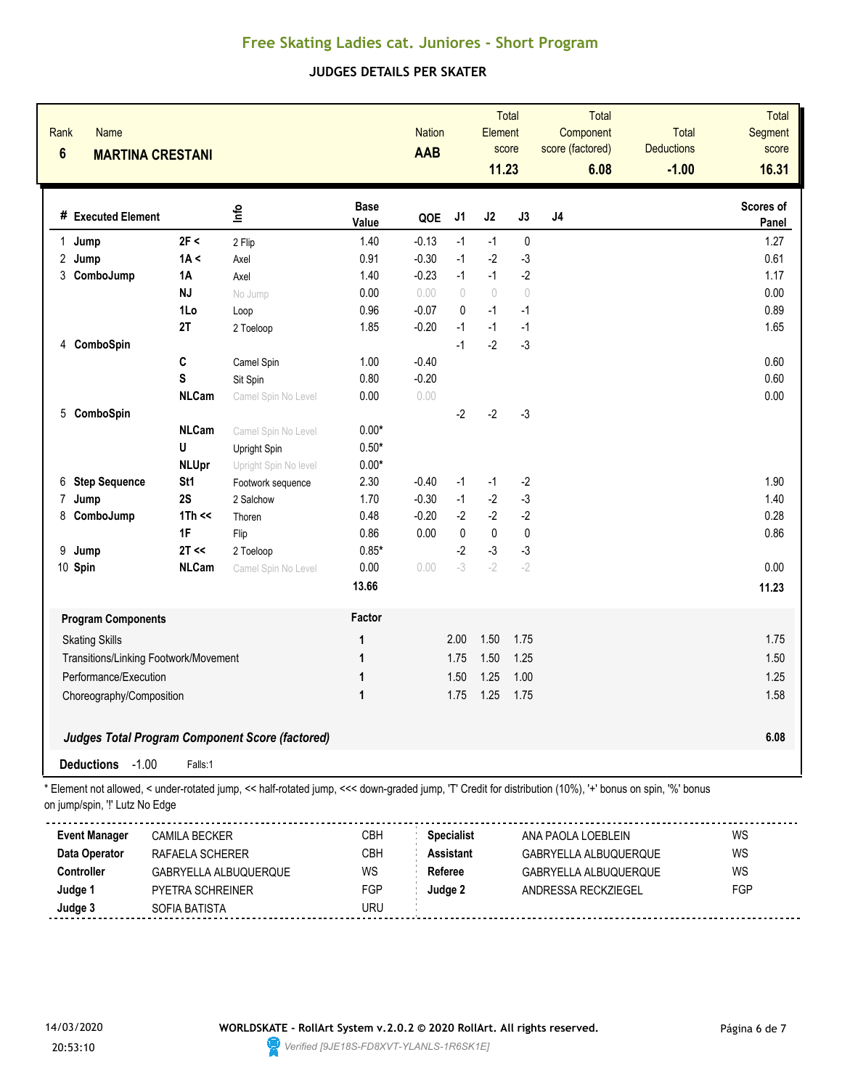#### **JUDGES DETAILS PER SKATER**

| Rank<br>$6\phantom{1}$ | <b>Name</b>                    | <b>MARTINA CRESTANI</b>               |                                                                                                                                                        |                      | <b>Nation</b><br>AAB |                                 | Element<br>11.23 | Total<br>score | Total<br>Component<br>score (factored)<br>6.08 | <b>Total</b><br><b>Deductions</b><br>$-1.00$ | <b>Total</b><br>Segment<br>score<br>16.31 |
|------------------------|--------------------------------|---------------------------------------|--------------------------------------------------------------------------------------------------------------------------------------------------------|----------------------|----------------------|---------------------------------|------------------|----------------|------------------------------------------------|----------------------------------------------|-------------------------------------------|
|                        | # Executed Element             |                                       | lnfo                                                                                                                                                   | <b>Base</b><br>Value | QOE                  | J1                              | J2               | J3             | J <sub>4</sub>                                 |                                              | <b>Scores of</b><br>Panel                 |
| 1                      | Jump                           | 2F <                                  | 2 Flip                                                                                                                                                 | 1.40                 | $-0.13$              | $-1$                            | $-1$             | $\pmb{0}$      |                                                |                                              | 1.27                                      |
|                        | 2 Jump                         | 1A <                                  | Axel                                                                                                                                                   | 0.91                 | $-0.30$              | $-1$                            | $-2$             | $-3$           |                                                |                                              | 0.61                                      |
|                        | 3 ComboJump                    | 1A                                    | Axel                                                                                                                                                   | 1.40                 | $-0.23$              | $-1$                            | $-1$             | $-2$           |                                                |                                              | 1.17                                      |
|                        |                                | <b>NJ</b>                             | No Jump                                                                                                                                                | 0.00                 | 0.00                 | $\begin{matrix} 0 \end{matrix}$ | $\sqrt{2}$       | $\bigcirc$     |                                                |                                              | 0.00                                      |
|                        |                                | 1Lo                                   | Loop                                                                                                                                                   | 0.96                 | $-0.07$              | 0                               | $-1$             | $-1$           |                                                |                                              | 0.89                                      |
|                        |                                | 2T                                    | 2 Toeloop                                                                                                                                              | 1.85                 | $-0.20$              | $-1$                            | $-1$             | $-1$           |                                                |                                              | 1.65                                      |
| 4                      | ComboSpin                      |                                       |                                                                                                                                                        |                      |                      | $-1$                            | $-2$             | $-3$           |                                                |                                              |                                           |
|                        |                                | C                                     | Camel Spin                                                                                                                                             | 1.00                 | $-0.40$              |                                 |                  |                |                                                |                                              | 0.60                                      |
|                        |                                | S                                     | Sit Spin                                                                                                                                               | 0.80                 | $-0.20$              |                                 |                  |                |                                                |                                              | 0.60                                      |
|                        |                                | <b>NLCam</b>                          | Camel Spin No Level                                                                                                                                    | 0.00                 | 0.00                 |                                 |                  |                |                                                |                                              | 0.00                                      |
|                        | 5 ComboSpin                    |                                       |                                                                                                                                                        |                      |                      | $-2$                            | $-2$             | $-3$           |                                                |                                              |                                           |
|                        |                                | <b>NLCam</b>                          | Camel Spin No Level                                                                                                                                    | $0.00*$              |                      |                                 |                  |                |                                                |                                              |                                           |
|                        |                                | U                                     | Upright Spin                                                                                                                                           | $0.50*$              |                      |                                 |                  |                |                                                |                                              |                                           |
|                        |                                | <b>NLUpr</b>                          | Upright Spin No level                                                                                                                                  | $0.00*$              |                      |                                 |                  |                |                                                |                                              |                                           |
| 6                      | <b>Step Sequence</b>           | St <sub>1</sub>                       | Footwork sequence                                                                                                                                      | 2.30                 | $-0.40$              | $-1$                            | $-1$             | $-2$           |                                                |                                              | 1.90                                      |
| 7                      | Jump                           | 2S                                    | 2 Salchow                                                                                                                                              | 1.70                 | $-0.30$              | $-1$                            | $-2$             | $-3$           |                                                |                                              | 1.40                                      |
| 8                      | ComboJump                      | 1Th <                                 | Thoren                                                                                                                                                 | 0.48                 | $-0.20$              | $-2$                            | $-2$             | $-2$           |                                                |                                              | 0.28                                      |
|                        |                                | 1F                                    | Flip                                                                                                                                                   | 0.86                 | 0.00                 | 0                               | $\pmb{0}$        | $\pmb{0}$      |                                                |                                              | 0.86                                      |
| 9                      | Jump                           | 2T <                                  | 2 Toeloop                                                                                                                                              | $0.85*$              |                      | $-2$                            | $-3$             | $-3$           |                                                |                                              |                                           |
|                        | 10 Spin                        | <b>NLCam</b>                          | Camel Spin No Level                                                                                                                                    | 0.00                 | 0.00                 | $-3$                            | $-2$             | $-2$           |                                                |                                              | 0.00                                      |
|                        |                                |                                       |                                                                                                                                                        | 13.66                |                      |                                 |                  |                |                                                |                                              | 11.23                                     |
|                        | <b>Program Components</b>      |                                       |                                                                                                                                                        | Factor               |                      |                                 |                  |                |                                                |                                              |                                           |
|                        |                                |                                       |                                                                                                                                                        |                      |                      |                                 |                  |                |                                                |                                              |                                           |
|                        | <b>Skating Skills</b>          |                                       |                                                                                                                                                        | 1                    |                      | 2.00                            | 1.50             | 1.75           |                                                |                                              | 1.75                                      |
|                        |                                | Transitions/Linking Footwork/Movement |                                                                                                                                                        | 1                    |                      | 1.75                            | 1.50             | 1.25           |                                                |                                              | 1.50                                      |
|                        | Performance/Execution          |                                       |                                                                                                                                                        | 1                    |                      | 1.50                            | 1.25             | 1.00           |                                                |                                              | 1.25                                      |
|                        | Choreography/Composition       |                                       |                                                                                                                                                        | 1                    |                      | 1.75                            | 1.25             | 1.75           |                                                |                                              | 1.58                                      |
|                        |                                |                                       | <b>Judges Total Program Component Score (factored)</b>                                                                                                 |                      |                      |                                 |                  |                |                                                |                                              | 6.08                                      |
|                        | $-1.00$<br><b>Deductions</b>   | Falls:1                               |                                                                                                                                                        |                      |                      |                                 |                  |                |                                                |                                              |                                           |
|                        |                                |                                       | Element not allowed, < under-rotated jump, << half-rotated jump, <<< down-graded jump, 'T' Credit for distribution (10%), '+' bonus on spin, '%' bonus |                      |                      |                                 |                  |                |                                                |                                              |                                           |
|                        | on jump/spin, "!' Lutz No Edge |                                       |                                                                                                                                                        |                      |                      |                                 |                  |                |                                                |                                              |                                           |
|                        | <b>Event Manager</b>           | <b>CAMILA BECKER</b>                  |                                                                                                                                                        | CBH                  |                      | <b>Specialist</b>               |                  |                | ANA PAOLA LOEBLEIN                             |                                              | WS                                        |
|                        | Data Operator                  | RAFAELA SCHERER                       |                                                                                                                                                        | CBH                  |                      | <b>Assistant</b>                |                  |                | GABRYELLA ALBUQUERQUE                          |                                              | WS                                        |
|                        | Controller                     | GABRYELLA ALBUQUERQUE                 |                                                                                                                                                        | WS                   |                      | Referee                         |                  |                | GABRYELLA ALBUQUERQUE                          |                                              | WS                                        |



**Judge 3** SOFIA BATISTA URU

**Judge 1** PYETRA SCHREINER FGP **Judge 2** ANDRESSA RECKZIEGEL FGP